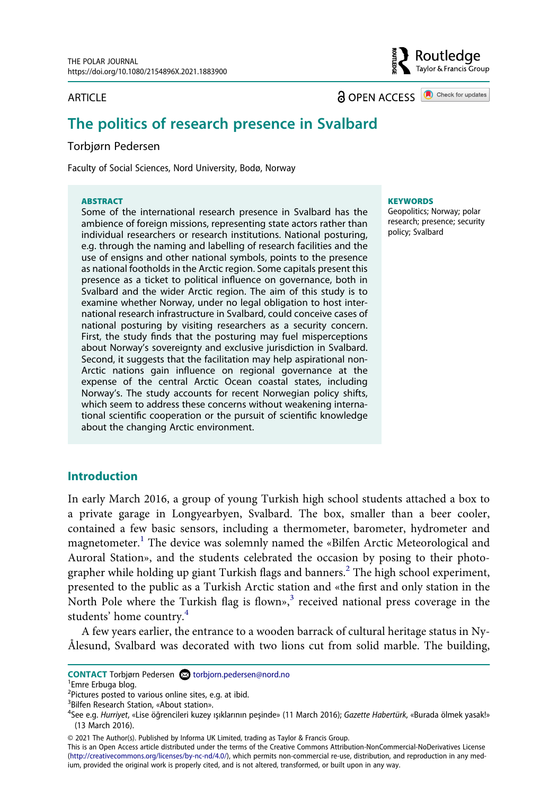#### ARTICLE

**a** OPEN ACCESS **a** Check for updates

Routledge س<br>Taylor & Francis Group

# **The politics of research presence in Svalbard**

#### Torbjørn Pedersen

Faculty of Social Sciences, Nord University, Bodø, Norway

#### **ABSTRACT**

Some of the international research presence in Svalbard has the ambience of foreign missions, representing state actors rather than individual researchers or research institutions. National posturing, e.g. through the naming and labelling of research facilities and the use of ensigns and other national symbols, points to the presence as national footholds in the Arctic region. Some capitals present this presence as a ticket to political influence on governance, both in Svalbard and the wider Arctic region. The aim of this study is to examine whether Norway, under no legal obligation to host international research infrastructure in Svalbard, could conceive cases of national posturing by visiting researchers as a security concern. First, the study finds that the posturing may fuel misperceptions about Norway's sovereignty and exclusive jurisdiction in Svalbard. Second, it suggests that the facilitation may help aspirational non-Arctic nations gain influence on regional governance at the expense of the central Arctic Ocean coastal states, including Norway's. The study accounts for recent Norwegian policy shifts, which seem to address these concerns without weakening international scientific cooperation or the pursuit of scientific knowledge about the changing Arctic environment.

#### **KEYWORDS**

Geopolitics; Norway; polar research; presence; security policy; Svalbard

### **Introduction**

In early March 2016, a group of young Turkish high school students attached a box to a private garage in Longyearbyen, Svalbard. The box, smaller than a beer cooler, contained a few basic sensors, including a thermometer, barometer, hydrometer and magnetometer.<sup>1</sup> The device was solemnly named the «Bilfen Arctic Meteorological and Auroral Station», and the students celebrated the occasion by posing to their photographer while holding up giant Turkish flags and banners.<sup>2</sup> The high school experiment, presented to the public as a Turkish Arctic station and «the first and only station in the North Pole where the Turkish flag is flown», $3$  received national press coverage in the students' home country.[4](#page-0-3)

A few years earlier, the entrance to a wooden barrack of cultural heritage status in Ny-Ålesund, Svalbard was decorated with two lions cut from solid marble. The building,

**CONTACT** Torbjørn Pedersen @ torbjorn.pedersen@nord.no

<span id="page-0-0"></span><sup>&</sup>lt;sup>1</sup>Emre Erbuga blog.

<span id="page-0-1"></span> $^{2}$ Pictures posted to various online sites, e.g. at ibid.

<span id="page-0-2"></span><sup>&</sup>lt;sup>3</sup>Bilfen Research Station, «About station».

<span id="page-0-3"></span>See e.g. *Hurriyet*, «Lise öğrencileri kuzey ışıklarının peşinde» (11 March 2016); *Gazette Habertürk*, «Burada ölmek yasak!» (13 March 2016).

<sup>© 2021</sup> The Author(s). Published by Informa UK Limited, trading as Taylor & Francis Group.

This is an Open Access article distributed under the terms of the Creative Commons Attribution-NonCommercial-NoDerivatives License (http://creativecommons.org/licenses/by-nc-nd/4.0/), which permits non-commercial re-use, distribution, and reproduction in any medium, provided the original work is properly cited, and is not altered, transformed, or built upon in any way.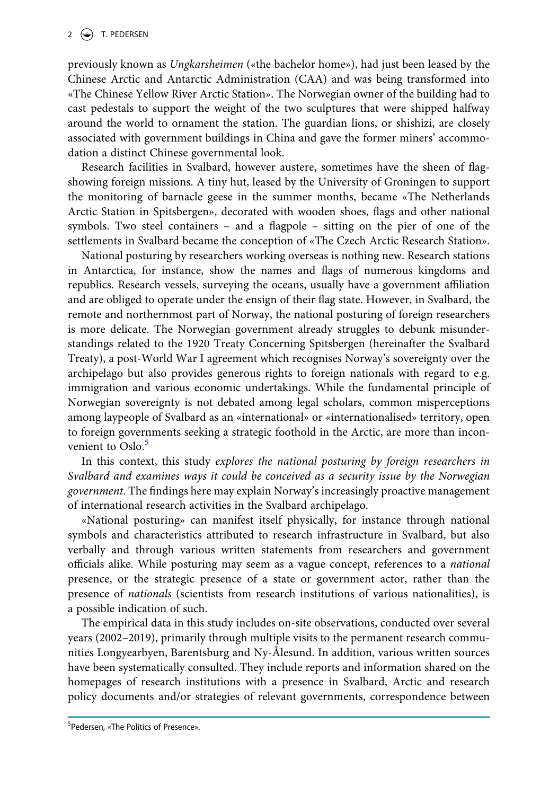previously known as *Ungkarsheimen* («the bachelor home»), had just been leased by the Chinese Arctic and Antarctic Administration (CAA) and was being transformed into «The Chinese Yellow River Arctic Station». The Norwegian owner of the building had to cast pedestals to support the weight of the two sculptures that were shipped halfway around the world to ornament the station. The guardian lions, or shishizi, are closely associated with government buildings in China and gave the former miners' accommodation a distinct Chinese governmental look.

Research facilities in Svalbard, however austere, sometimes have the sheen of flagshowing foreign missions. A tiny hut, leased by the University of Groningen to support the monitoring of barnacle geese in the summer months, became «The Netherlands Arctic Station in Spitsbergen», decorated with wooden shoes, flags and other national symbols. Two steel containers – and a flagpole – sitting on the pier of one of the settlements in Svalbard became the conception of «The Czech Arctic Research Station».

National posturing by researchers working overseas is nothing new. Research stations in Antarctica, for instance, show the names and flags of numerous kingdoms and republics. Research vessels, surveying the oceans, usually have a government affiliation and are obliged to operate under the ensign of their flag state. However, in Svalbard, the remote and northernmost part of Norway, the national posturing of foreign researchers is more delicate. The Norwegian government already struggles to debunk misunderstandings related to the 1920 Treaty Concerning Spitsbergen (hereinafter the Svalbard Treaty), a post-World War I agreement which recognises Norway's sovereignty over the archipelago but also provides generous rights to foreign nationals with regard to e.g. immigration and various economic undertakings. While the fundamental principle of Norwegian sovereignty is not debated among legal scholars, common misperceptions among laypeople of Svalbard as an «international» or «internationalised» territory, open to foreign governments seeking a strategic foothold in the Arctic, are more than inconvenient to  $Oslo.<sup>5</sup>$  $Oslo.<sup>5</sup>$  $Oslo.<sup>5</sup>$ 

In this context, this study *explores the national posturing by foreign researchers in Svalbard and examines ways it could be conceived as a security issue by the Norwegian government*. The findings here may explain Norway's increasingly proactive management of international research activities in the Svalbard archipelago.

«National posturing» can manifest itself physically, for instance through national symbols and characteristics attributed to research infrastructure in Svalbard, but also verbally and through various written statements from researchers and government officials alike. While posturing may seem as a vague concept, references to a *national*  presence, or the strategic presence of a state or government actor, rather than the presence of *nationals* (scientists from research institutions of various nationalities), is a possible indication of such.

<span id="page-1-0"></span>The empirical data in this study includes on-site observations, conducted over several years (2002–2019), primarily through multiple visits to the permanent research communities Longyearbyen, Barentsburg and Ny-Ålesund. In addition, various written sources have been systematically consulted. They include reports and information shared on the homepages of research institutions with a presence in Svalbard, Arctic and research policy documents and/or strategies of relevant governments, correspondence between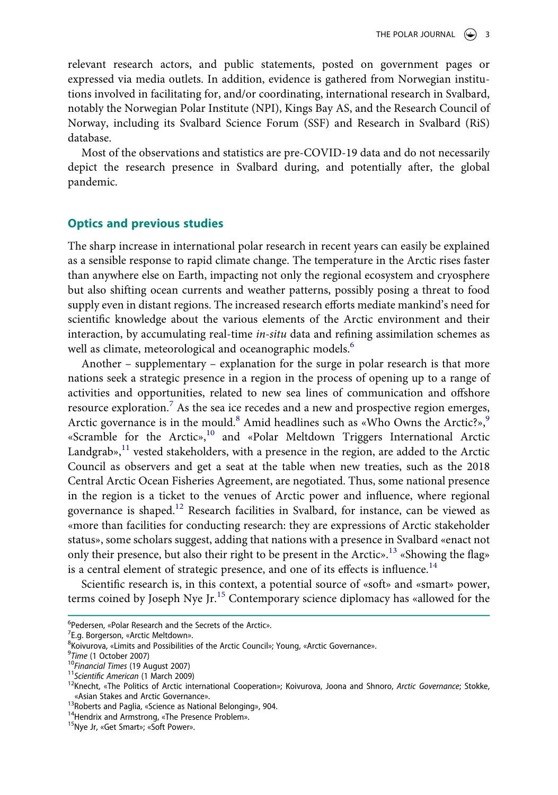relevant research actors, and public statements, posted on government pages or expressed via media outlets. In addition, evidence is gathered from Norwegian institutions involved in facilitating for, and/or coordinating, international research in Svalbard, notably the Norwegian Polar Institute (NPI), Kings Bay AS, and the Research Council of Norway, including its Svalbard Science Forum (SSF) and Research in Svalbard (RiS) database.

Most of the observations and statistics are pre-COVID-19 data and do not necessarily depict the research presence in Svalbard during, and potentially after, the global pandemic.

### **Optics and previous studies**

The sharp increase in international polar research in recent years can easily be explained as a sensible response to rapid climate change. The temperature in the Arctic rises faster than anywhere else on Earth, impacting not only the regional ecosystem and cryosphere but also shifting ocean currents and weather patterns, possibly posing a threat to food supply even in distant regions. The increased research efforts mediate mankind's need for scientific knowledge about the various elements of the Arctic environment and their interaction, by accumulating real-time *in-situ* data and refining assimilation schemes as well as climate, meteorological and oceanographic models.<sup>[6](#page-2-0)</sup>

Another – supplementary – explanation for the surge in polar research is that more nations seek a strategic presence in a region in the process of opening up to a range of activities and opportunities, related to new sea lines of communication and offshore resource exploration.<sup>[7](#page-2-1)</sup> As the sea ice recedes and a new and prospective region emerges, Arctic governance is in the mould.<sup>[8](#page-2-2)</sup> Amid headlines such as «Who Owns the Arctic?»,<sup>9</sup> «Scramble for the Arctic»,<sup>10</sup> and «Polar Meltdown Triggers International Arctic Landgrab», $^{11}$  vested stakeholders, with a presence in the region, are added to the Arctic Council as observers and get a seat at the table when new treaties, such as the 2018 Central Arctic Ocean Fisheries Agreement, are negotiated. Thus, some national presence in the region is a ticket to the venues of Arctic power and influence, where regional governance is shaped.[12](#page-2-6) Research facilities in Svalbard, for instance, can be viewed as «more than facilities for conducting research: they are expressions of Arctic stakeholder status», some scholars suggest, adding that nations with a presence in Svalbard «enact not only their presence, but also their right to be present in the Arctic».<sup>[13](#page-2-7)</sup> «Showing the flag» is a central element of strategic presence, and one of its effects is influence.<sup>14</sup>

Scientific research is, in this context, a potential source of «soft» and «smart» power, terms coined by Joseph Nye Jr.[15](#page-2-9) Contemporary science diplomacy has «allowed for the

<span id="page-2-1"></span> $7$ E.g. Borgerson, «Arctic Meltdown».

<span id="page-2-0"></span><sup>&</sup>lt;sup>6</sup> Pedersen, «Polar Research and the Secrets of the Arctic».

<span id="page-2-2"></span><sup>&</sup>lt;sup>8</sup>Koivurova, «Limits and Possibilities of the Arctic Council»; Young, «Arctic Governance». 9Time (1 October 2007)

<span id="page-2-3"></span>

<span id="page-2-6"></span><span id="page-2-5"></span>

<span id="page-2-4"></span><sup>&</sup>lt;sup>10</sup>Financial Times (19 August 2007)<br><sup>11</sup>Scientific American (1 March 2009)<br><sup>12</sup>Knecht, «The Politics of Arctic international Cooperation»; Koivurova, Joona and Shnoro, *Arctic Governance*; Stokke,<br><sup>12</sup>Knecht, «The Politic

<span id="page-2-7"></span><sup>&</sup>lt;sup>13</sup>Roberts and Paglia, «Science as National Belonging», 904. 14Hendrix and Armstrong, «The Presence Problem». 15Nye Jr, «Get Smart»; «Soft Power».

<span id="page-2-8"></span>

<span id="page-2-9"></span>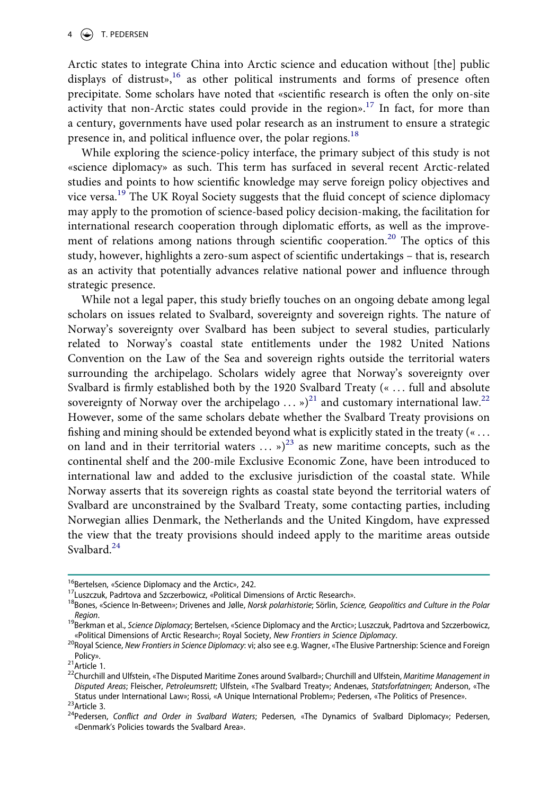Arctic states to integrate China into Arctic science and education without [the] public displays of distrust»,<sup>16</sup> as other political instruments and forms of presence often precipitate. Some scholars have noted that «scientific research is often the only on-site activity that non-Arctic states could provide in the region».<sup>17</sup> In fact, for more than a century, governments have used polar research as an instrument to ensure a strategic presence in, and political influence over, the polar regions.<sup>[18](#page-3-2)</sup>

While exploring the science-policy interface, the primary subject of this study is not «science diplomacy» as such. This term has surfaced in several recent Arctic-related studies and points to how scientific knowledge may serve foreign policy objectives and vice versa.[19](#page-3-3) The UK Royal Society suggests that the fluid concept of science diplomacy may apply to the promotion of science-based policy decision-making, the facilitation for international research cooperation through diplomatic efforts, as well as the improve-ment of relations among nations through scientific cooperation.<sup>[20](#page-3-4)</sup> The optics of this study, however, highlights a zero-sum aspect of scientific undertakings – that is, research as an activity that potentially advances relative national power and influence through strategic presence.

While not a legal paper, this study briefly touches on an ongoing debate among legal scholars on issues related to Svalbard, sovereignty and sovereign rights. The nature of Norway's sovereignty over Svalbard has been subject to several studies, particularly related to Norway's coastal state entitlements under the 1982 United Nations Convention on the Law of the Sea and sovereign rights outside the territorial waters surrounding the archipelago. Scholars widely agree that Norway's sovereignty over Svalbard is firmly established both by the 1920 Svalbard Treaty (« ... full and absolute sovereignty of Norway over the archipelago  $\ldots$  »)<sup>21</sup> and customary international law.<sup>[22](#page-3-6)</sup> However, some of the same scholars debate whether the Svalbard Treaty provisions on fishing and mining should be extended beyond what is explicitly stated in the treaty (« . . . on land and in their territorial waters  $\ldots$  »)<sup>[23](#page-3-7)</sup> as new maritime concepts, such as the continental shelf and the 200-mile Exclusive Economic Zone, have been introduced to international law and added to the exclusive jurisdiction of the coastal state. While Norway asserts that its sovereign rights as coastal state beyond the territorial waters of Svalbard are unconstrained by the Svalbard Treaty, some contacting parties, including Norwegian allies Denmark, the Netherlands and the United Kingdom, have expressed the view that the treaty provisions should indeed apply to the maritime areas outside Svalbard.<sup>[24](#page-3-8)</sup>

<span id="page-3-2"></span><span id="page-3-1"></span>

<span id="page-3-0"></span><sup>&</sup>lt;sup>16</sup>Bertelsen, «Science Diplomacy and the Arctic», 242.<br><sup>17</sup>Luszczuk, Padrtova and Szczerbowicz, «Political Dimensions of Arctic Research».<br><sup>18</sup>Bones, «Science In-Between»; Drivenes and Jølle, *Norsk polarhistorie*; Sörlin

<span id="page-3-3"></span>*Region*. 19Berkman et al., *Science Diplomacy*; Bertelsen, «Science Diplomacy and the Arctic»; Luszczuk, Padrtova and Szczerbowicz,

<span id="page-3-4"></span><sup>«</sup>Political Dimensions of Arctic Research»; Royal Society, *New Frontiers in Science Diplomacy*.<br><sup>20</sup>Royal Science, *New Frontiers in Science Diplomacy*: vi; also see e.g. Wagner, «The Elusive Partnership: Science and Forei

<span id="page-3-6"></span>

<span id="page-3-5"></span><sup>&</sup>lt;sup>21</sup> Article 1.<br><sup>22</sup>Churchill and Ulfstein, «The Disputed Maritime Zones around Svalbard»; Churchill and Ulfstein, *Maritime Management in Disputed Areas*; Fleischer, *Petroleumsrett*; Ulfstein, «The Svalbard Treaty»; Andenæs, *Statsforfatningen*; Anderson, «The Status under International Law»; Rossi, «A Unique International Problem»; Pedersen, «The Politics of Presence».<br><sup>23</sup>Article 3.<br><sup>24</sup>Pedersen, *Conflict and Order in Svalbard Waters*; Pedersen, «The Dynamics of Svalbard Dipl

<span id="page-3-8"></span><span id="page-3-7"></span>

<sup>«</sup>Denmark's Policies towards the Svalbard Area».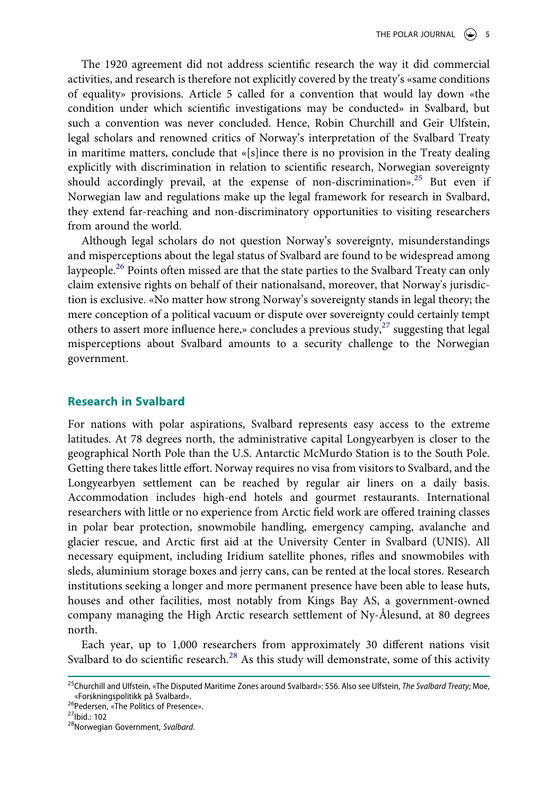The 1920 agreement did not address scientific research the way it did commercial activities, and research is therefore not explicitly covered by the treaty's «same conditions of equality» provisions. Article 5 called for a convention that would lay down «the condition under which scientific investigations may be conducted» in Svalbard, but such a convention was never concluded. Hence, Robin Churchill and Geir Ulfstein, legal scholars and renowned critics of Norway's interpretation of the Svalbard Treaty in maritime matters, conclude that «[s]ince there is no provision in the Treaty dealing explicitly with discrimination in relation to scientific research, Norwegian sovereignty should accordingly prevail, at the expense of non-discrimination».<sup>25</sup> But even if Norwegian law and regulations make up the legal framework for research in Svalbard, they extend far-reaching and non-discriminatory opportunities to visiting researchers from around the world.

Although legal scholars do not question Norway's sovereignty, misunderstandings and misperceptions about the legal status of Svalbard are found to be widespread among laypeople.<sup>[26](#page-4-1)</sup> Points often missed are that the state parties to the Svalbard Treaty can only claim extensive rights on behalf of their nationalsand, moreover, that Norway's jurisdiction is exclusive. «No matter how strong Norway's sovereignty stands in legal theory; the mere conception of a political vacuum or dispute over sovereignty could certainly tempt others to assert more influence here,» concludes a previous study,  $27$  suggesting that legal misperceptions about Svalbard amounts to a security challenge to the Norwegian government.

## **Research in Svalbard**

For nations with polar aspirations, Svalbard represents easy access to the extreme latitudes. At 78 degrees north, the administrative capital Longyearbyen is closer to the geographical North Pole than the U.S. Antarctic McMurdo Station is to the South Pole. Getting there takes little effort. Norway requires no visa from visitors to Svalbard, and the Longyearbyen settlement can be reached by regular air liners on a daily basis. Accommodation includes high-end hotels and gourmet restaurants. International researchers with little or no experience from Arctic field work are offered training classes in polar bear protection, snowmobile handling, emergency camping, avalanche and glacier rescue, and Arctic first aid at the University Center in Svalbard (UNIS). All necessary equipment, including Iridium satellite phones, rifles and snowmobiles with sleds, aluminium storage boxes and jerry cans, can be rented at the local stores. Research institutions seeking a longer and more permanent presence have been able to lease huts, houses and other facilities, most notably from Kings Bay AS, a government-owned company managing the High Arctic research settlement of Ny-Ålesund, at 80 degrees north.

Each year, up to 1,000 researchers from approximately 30 different nations visit Svalbard to do scientific research.<sup>[28](#page-4-3)</sup> As this study will demonstrate, some of this activity

<span id="page-4-0"></span><sup>25</sup>Churchill and Ulfstein, «The Disputed Maritime Zones around Svalbard»: 556. Also see Ulfstein, *The Svalbard Treaty*; Moe,

<span id="page-4-1"></span><sup>&</sup>lt;sup>26</sup>Pedersen, «The Politics of Presence».<br><sup>27</sup>Ibid.: 102<br><sup>28</sup>Norwegian Government, *Svalbard*.

<span id="page-4-2"></span>

<span id="page-4-3"></span>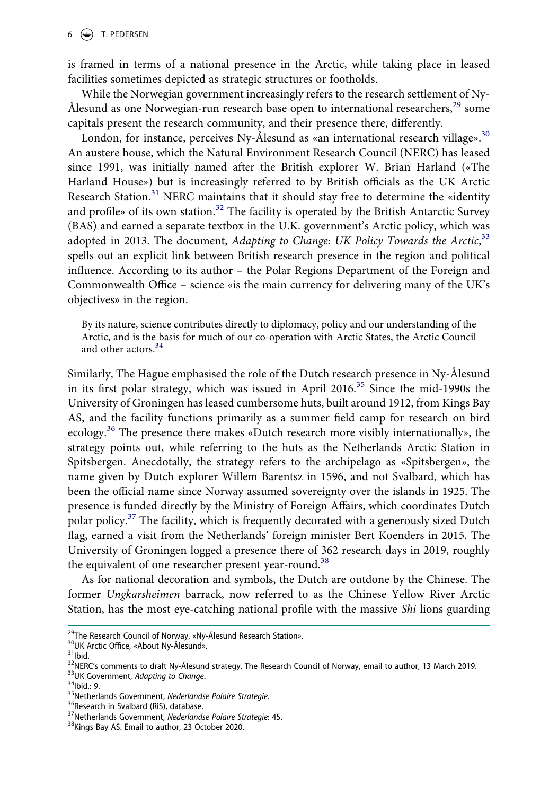is framed in terms of a national presence in the Arctic, while taking place in leased facilities sometimes depicted as strategic structures or footholds.

While the Norwegian government increasingly refers to the research settlement of Ny-Ålesund as one Norwegian-run research base open to international researchers, $^{29}$  some capitals present the research community, and their presence there, differently.

London, for instance, perceives Ny-Ålesund as «an international research village». $30$ An austere house, which the Natural Environment Research Council (NERC) has leased since 1991, was initially named after the British explorer W. Brian Harland («The Harland House») but is increasingly referred to by British officials as the UK Arctic Research Station.<sup>[31](#page-5-2)</sup> NERC maintains that it should stay free to determine the «identity and profile» of its own station.<sup>[32](#page-5-3)</sup> The facility is operated by the British Antarctic Survey (BAS) and earned a separate textbox in the U.K. government's Arctic policy, which was adopted in 2013. The document, *Adapting to Change: UK Policy Towards the Arctic*, [33](#page-5-4) spells out an explicit link between British research presence in the region and political influence. According to its author – the Polar Regions Department of the Foreign and Commonwealth Office – science «is the main currency for delivering many of the UK's objectives» in the region.

By its nature, science contributes directly to diplomacy, policy and our understanding of the Arctic, and is the basis for much of our co-operation with Arctic States, the Arctic Council and other actors.<sup>[34](#page-5-5)</sup>

Similarly, The Hague emphasised the role of the Dutch research presence in Ny-Ålesund in its first polar strategy, which was issued in April  $2016<sup>35</sup>$  Since the mid-1990s the University of Groningen has leased cumbersome huts, built around 1912, from Kings Bay AS, and the facility functions primarily as a summer field camp for research on bird ecology.<sup>36</sup> The presence there makes «Dutch research more visibly internationally», the strategy points out, while referring to the huts as the Netherlands Arctic Station in Spitsbergen. Anecdotally, the strategy refers to the archipelago as «Spitsbergen», the name given by Dutch explorer Willem Barentsz in 1596, and not Svalbard, which has been the official name since Norway assumed sovereignty over the islands in 1925. The presence is funded directly by the Ministry of Foreign Affairs, which coordinates Dutch polar policy.<sup>[37](#page-5-8)</sup> The facility, which is frequently decorated with a generously sized Dutch flag, earned a visit from the Netherlands' foreign minister Bert Koenders in 2015. The University of Groningen logged a presence there of 362 research days in 2019, roughly the equivalent of one researcher present year-round.<sup>38</sup>

As for national decoration and symbols, the Dutch are outdone by the Chinese. The former *Ungkarsheimen* barrack, now referred to as the Chinese Yellow River Arctic Station, has the most eye-catching national profile with the massive *Shi* lions guarding

<span id="page-5-1"></span>

<span id="page-5-3"></span><span id="page-5-2"></span>

<span id="page-5-0"></span><sup>&</sup>lt;sup>29</sup>The Research Council of Norway, «Ny-Ålesund Research Station».<br><sup>30</sup>UK Arctic Office, «About Ny-Ålesund».<br><sup>31</sup>|bid.<br><sup>32</sup>NERC's comments to draft Ny-Ålesund strategy. The Research Council of Norway, email to author, 13

<span id="page-5-5"></span><span id="page-5-4"></span>

<span id="page-5-6"></span>

<span id="page-5-7"></span>

<span id="page-5-8"></span>

<span id="page-5-9"></span>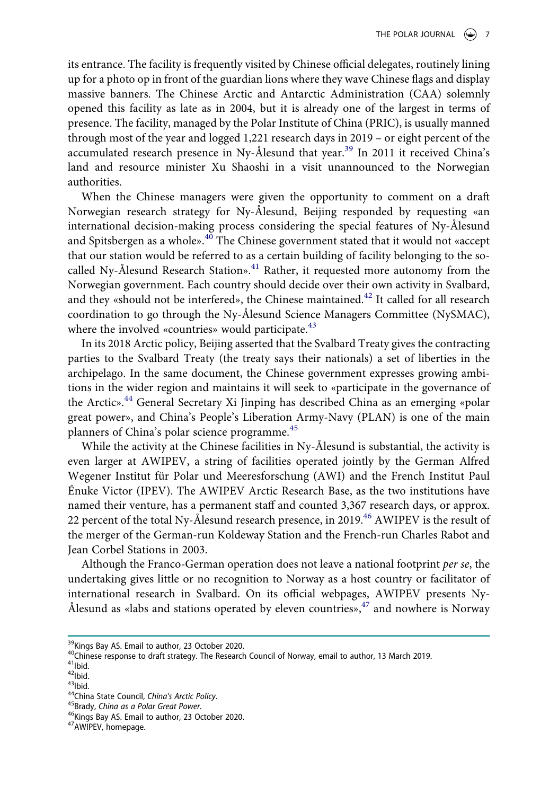its entrance. The facility is frequently visited by Chinese official delegates, routinely lining up for a photo op in front of the guardian lions where they wave Chinese flags and display massive banners. The Chinese Arctic and Antarctic Administration (CAA) solemnly opened this facility as late as in 2004, but it is already one of the largest in terms of presence. The facility, managed by the Polar Institute of China (PRIC), is usually manned through most of the year and logged 1,221 research days in 2019 – or eight percent of the accumulated research presence in Ny-Ålesund that year.<sup>[39](#page-6-0)</sup> In 2011 it received China's land and resource minister Xu Shaoshi in a visit unannounced to the Norwegian authorities.

When the Chinese managers were given the opportunity to comment on a draft Norwegian research strategy for Ny-Ålesund, Beijing responded by requesting «an international decision-making process considering the special features of Ny-Ålesund and Spitsbergen as a whole».<sup>40</sup> The Chinese government stated that it would not «accept that our station would be referred to as a certain building of facility belonging to the so-called Ny-Ålesund Research Station».<sup>[41](#page-6-2)</sup> Rather, it requested more autonomy from the Norwegian government. Each country should decide over their own activity in Svalbard, and they «should not be interfered», the Chinese maintained.<sup>[42](#page-6-3)</sup> It called for all research coordination to go through the Ny-Ålesund Science Managers Committee (NySMAC), where the involved «countries» would participate. $43$ 

In its 2018 Arctic policy, Beijing asserted that the Svalbard Treaty gives the contracting parties to the Svalbard Treaty (the treaty says their nationals) a set of liberties in the archipelago. In the same document, the Chinese government expresses growing ambitions in the wider region and maintains it will seek to «participate in the governance of the Arctic».<sup>[44](#page-6-5)</sup> General Secretary Xi Jinping has described China as an emerging «polar great power», and China's People's Liberation Army-Navy (PLAN) is one of the main planners of China's polar science programme.<sup>45</sup>

While the activity at the Chinese facilities in Ny-Ålesund is substantial, the activity is even larger at AWIPEV, a string of facilities operated jointly by the German Alfred Wegener Institut für Polar und Meeresforschung (AWI) and the French Institut Paul Énuke Victor (IPEV). The AWIPEV Arctic Research Base, as the two institutions have named their venture, has a permanent staff and counted 3,367 research days, or approx. 22 percent of the total Ny-Ålesund research presence, in 2019.<sup>46</sup> AWIPEV is the result of the merger of the German-run Koldeway Station and the French-run Charles Rabot and Jean Corbel Stations in 2003.

Although the Franco-German operation does not leave a national footprint *per se*, the undertaking gives little or no recognition to Norway as a host country or facilitator of international research in Svalbard. On its official webpages, AWIPEV presents Ny-Ålesund as «labs and stations operated by eleven countries», $47$  and nowhere is Norway

<span id="page-6-1"></span>

<span id="page-6-0"></span><sup>&</sup>lt;sup>39</sup>Kings Bay AS. Email to author, 23 October 2020.<br><sup>40</sup>Chinese response to draft strategy. The Research Council of Norway, email to author, 13 March 2019.<br><sup>41</sup>lbid.<br><sup>42</sup>lbid.<br><sup>42</sup>lbid.<br><sup>44</sup>China State Council, *China's A* 

<span id="page-6-2"></span>

<span id="page-6-3"></span>

<span id="page-6-5"></span><span id="page-6-4"></span>

<span id="page-6-6"></span>

<span id="page-6-7"></span>

<span id="page-6-8"></span>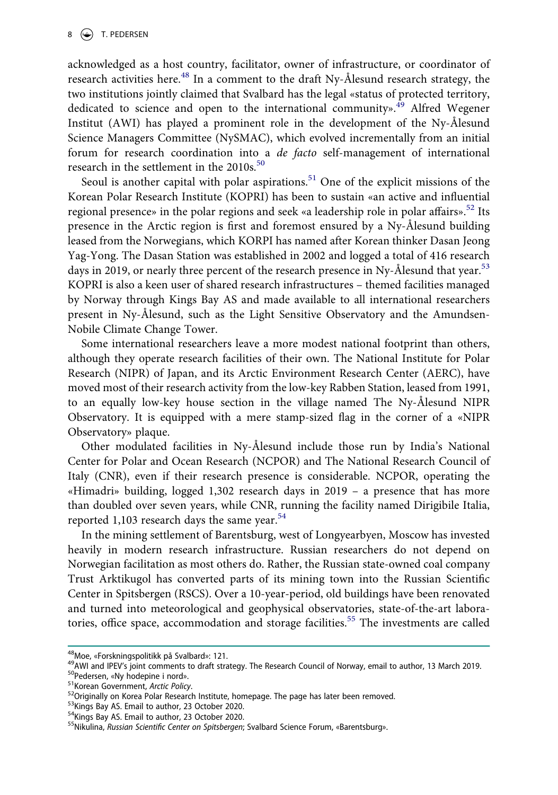acknowledged as a host country, facilitator, owner of infrastructure, or coordinator of research activities here.<sup>[48](#page-7-0)</sup> In a comment to the draft Ny-Ålesund research strategy, the two institutions jointly claimed that Svalbard has the legal «status of protected territory, dedicated to science and open to the international community».<sup>49</sup> Alfred Wegener Institut (AWI) has played a prominent role in the development of the Ny-Ålesund Science Managers Committee (NySMAC), which evolved incrementally from an initial forum for research coordination into a *de facto* self-management of international research in the settlement in the 2010s.<sup>[50](#page-7-2)</sup>

Seoul is another capital with polar aspirations.<sup>51</sup> One of the explicit missions of the Korean Polar Research Institute (KOPRI) has been to sustain «an active and influential regional presence» in the polar regions and seek «a leadership role in polar affairs».<sup>52</sup> Its presence in the Arctic region is first and foremost ensured by a Ny-Ålesund building leased from the Norwegians, which KORPI has named after Korean thinker Dasan Jeong Yag-Yong. The Dasan Station was established in 2002 and logged a total of 416 research days in 2019, or nearly three percent of the research presence in Ny-Ålesund that year.<sup>[53](#page-7-5)</sup> KOPRI is also a keen user of shared research infrastructures – themed facilities managed by Norway through Kings Bay AS and made available to all international researchers present in Ny-Ålesund, such as the Light Sensitive Observatory and the Amundsen-Nobile Climate Change Tower.

Some international researchers leave a more modest national footprint than others, although they operate research facilities of their own. The National Institute for Polar Research (NIPR) of Japan, and its Arctic Environment Research Center (AERC), have moved most of their research activity from the low-key Rabben Station, leased from 1991, to an equally low-key house section in the village named The Ny-Ålesund NIPR Observatory. It is equipped with a mere stamp-sized flag in the corner of a «NIPR Observatory» plaque.

Other modulated facilities in Ny-Ålesund include those run by India's National Center for Polar and Ocean Research (NCPOR) and The National Research Council of Italy (CNR), even if their research presence is considerable. NCPOR, operating the «Himadri» building, logged 1,302 research days in 2019 – a presence that has more than doubled over seven years, while CNR, running the facility named Dirigibile Italia, reported 1,103 research days the same year. $54$ 

In the mining settlement of Barentsburg, west of Longyearbyen, Moscow has invested heavily in modern research infrastructure. Russian researchers do not depend on Norwegian facilitation as most others do. Rather, the Russian state-owned coal company Trust Arktikugol has converted parts of its mining town into the Russian Scientific Center in Spitsbergen (RSCS). Over a 10-year-period, old buildings have been renovated and turned into meteorological and geophysical observatories, state-of-the-art labora-tories, office space, accommodation and storage facilities.<sup>[55](#page-7-7)</sup> The investments are called

<span id="page-7-1"></span>

<span id="page-7-0"></span><sup>&</sup>lt;sup>48</sup>Moe, «Forskningspolitikk på Svalbard»: 121.<br><sup>49</sup>AWI and IPEV's joint comments to draft strategy. The Research Council of Norway, email to author, 13 March 2019.<br><sup>50</sup>Pedersen, «Ny hodepine i nord».<br><sup>51</sup>Korean Governmen

<span id="page-7-2"></span>

<span id="page-7-3"></span>

<span id="page-7-4"></span>

<span id="page-7-6"></span><span id="page-7-5"></span>

<span id="page-7-7"></span>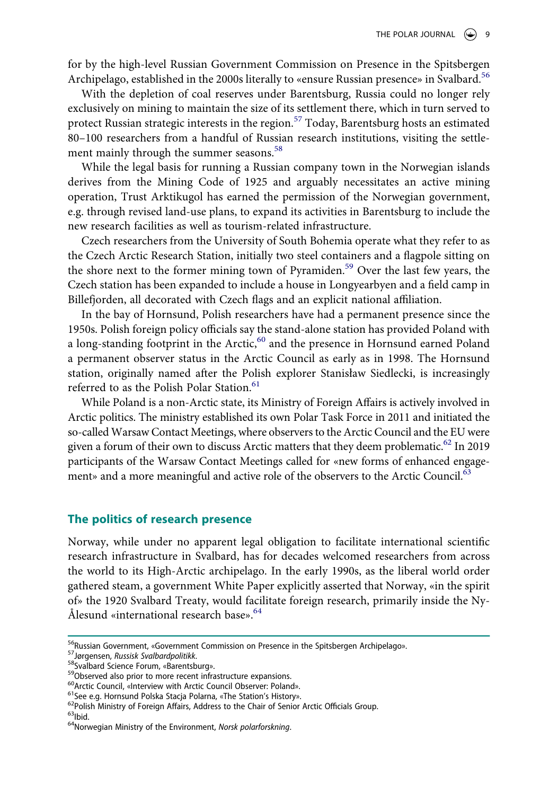for by the high-level Russian Government Commission on Presence in the Spitsbergen Archipelago, established in the 2000s literally to «ensure Russian presence» in Svalbard.<sup>[56](#page-8-0)</sup>

With the depletion of coal reserves under Barentsburg, Russia could no longer rely exclusively on mining to maintain the size of its settlement there, which in turn served to protect Russian strategic interests in the region.<sup>[57](#page-8-1)</sup> Today, Barentsburg hosts an estimated 80–100 researchers from a handful of Russian research institutions, visiting the settle-ment mainly through the summer seasons.<sup>[58](#page-8-2)</sup>

While the legal basis for running a Russian company town in the Norwegian islands derives from the Mining Code of 1925 and arguably necessitates an active mining operation, Trust Arktikugol has earned the permission of the Norwegian government, e.g. through revised land-use plans, to expand its activities in Barentsburg to include the new research facilities as well as tourism-related infrastructure.

Czech researchers from the University of South Bohemia operate what they refer to as the Czech Arctic Research Station, initially two steel containers and a flagpole sitting on the shore next to the former mining town of Pyramiden.[59](#page-8-3) Over the last few years, the Czech station has been expanded to include a house in Longyearbyen and a field camp in Billefjorden, all decorated with Czech flags and an explicit national affiliation.

In the bay of Hornsund, Polish researchers have had a permanent presence since the 1950s. Polish foreign policy officials say the stand-alone station has provided Poland with a long-standing footprint in the Arctic,<sup>60</sup> and the presence in Hornsund earned Poland a permanent observer status in the Arctic Council as early as in 1998. The Hornsund station, originally named after the Polish explorer Stanisław Siedlecki, is increasingly referred to as the Polish Polar Station.<sup>[61](#page-8-5)</sup>

While Poland is a non-Arctic state, its Ministry of Foreign Affairs is actively involved in Arctic politics. The ministry established its own Polar Task Force in 2011 and initiated the so-called Warsaw Contact Meetings, where observers to the Arctic Council and the EU were given a forum of their own to discuss Arctic matters that they deem problematic.<sup>62</sup> In 2019 participants of the Warsaw Contact Meetings called for «new forms of enhanced engagement» and a more meaningful and active role of the observers to the Arctic Council.<sup>63</sup>

#### **The politics of research presence**

Norway, while under no apparent legal obligation to facilitate international scientific research infrastructure in Svalbard, has for decades welcomed researchers from across the world to its High-Arctic archipelago. In the early 1990s, as the liberal world order gathered steam, a government White Paper explicitly asserted that Norway, «in the spirit of» the 1920 Svalbard Treaty, would facilitate foreign research, primarily inside the Ny-Ålesund «international research base».<sup>[64](#page-8-8)</sup>

<span id="page-8-1"></span>

<span id="page-8-2"></span>

<span id="page-8-3"></span>

<span id="page-8-4"></span>

<span id="page-8-6"></span><span id="page-8-5"></span>

<span id="page-8-0"></span><sup>&</sup>lt;sup>56</sup>Russian Government, «Government Commission on Presence in the Spitsbergen Archipelago».<br><sup>57</sup>Jørgensen, *Russisk Svalbardpolitikk*.<br><sup>58</sup>Svalbard Science Forum, «Barentsburg».<br><sup>59</sup>Observed also prior to more recent infr

<span id="page-8-8"></span><span id="page-8-7"></span>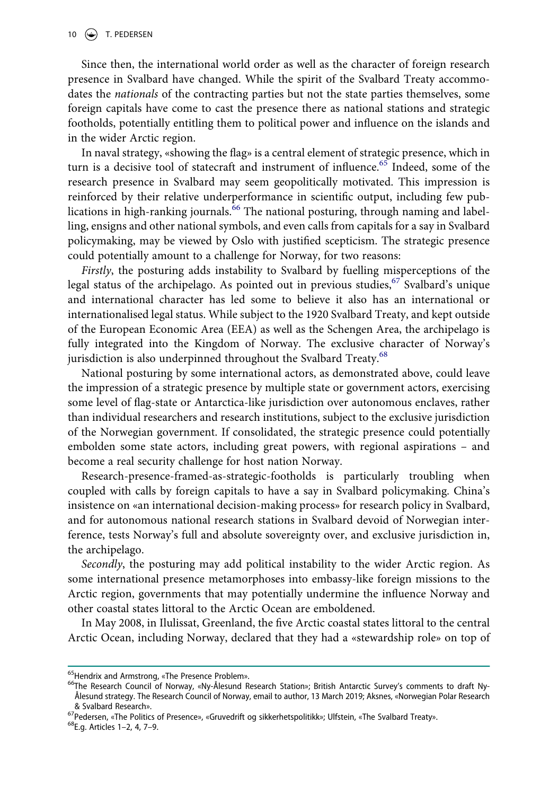Since then, the international world order as well as the character of foreign research presence in Svalbard have changed. While the spirit of the Svalbard Treaty accommodates the *nationals* of the contracting parties but not the state parties themselves, some foreign capitals have come to cast the presence there as national stations and strategic footholds, potentially entitling them to political power and influence on the islands and in the wider Arctic region.

In naval strategy, «showing the flag» is a central element of strategic presence, which in turn is a decisive tool of statecraft and instrument of influence.<sup>65</sup> Indeed, some of the research presence in Svalbard may seem geopolitically motivated. This impression is reinforced by their relative underperformance in scientific output, including few publications in high-ranking journals.<sup>66</sup> The national posturing, through naming and labelling, ensigns and other national symbols, and even calls from capitals for a say in Svalbard policymaking, may be viewed by Oslo with justified scepticism. The strategic presence could potentially amount to a challenge for Norway, for two reasons:

*Firstly*, the posturing adds instability to Svalbard by fuelling misperceptions of the legal status of the archipelago. As pointed out in previous studies,  $67$  Svalbard's unique and international character has led some to believe it also has an international or internationalised legal status. While subject to the 1920 Svalbard Treaty, and kept outside of the European Economic Area (EEA) as well as the Schengen Area, the archipelago is fully integrated into the Kingdom of Norway. The exclusive character of Norway's jurisdiction is also underpinned throughout the Svalbard Treaty.<sup>[68](#page-9-3)</sup>

National posturing by some international actors, as demonstrated above, could leave the impression of a strategic presence by multiple state or government actors, exercising some level of flag-state or Antarctica-like jurisdiction over autonomous enclaves, rather than individual researchers and research institutions, subject to the exclusive jurisdiction of the Norwegian government. If consolidated, the strategic presence could potentially embolden some state actors, including great powers, with regional aspirations – and become a real security challenge for host nation Norway.

Research-presence-framed-as-strategic-footholds is particularly troubling when coupled with calls by foreign capitals to have a say in Svalbard policymaking. China's insistence on «an international decision-making process» for research policy in Svalbard, and for autonomous national research stations in Svalbard devoid of Norwegian interference, tests Norway's full and absolute sovereignty over, and exclusive jurisdiction in, the archipelago.

*Secondly*, the posturing may add political instability to the wider Arctic region. As some international presence metamorphoses into embassy-like foreign missions to the Arctic region, governments that may potentially undermine the influence Norway and other coastal states littoral to the Arctic Ocean are emboldened.

In May 2008, in Ilulissat, Greenland, the five Arctic coastal states littoral to the central Arctic Ocean, including Norway, declared that they had a «stewardship role» on top of

<span id="page-9-1"></span>

<span id="page-9-0"></span><sup>&</sup>lt;sup>65</sup>Hendrix and Armstrong, «The Presence Problem».<br><sup>66</sup>The Research Council of Norway, «Ny-Ålesund Research Station»; British Antarctic Survey's comments to draft Ny-Ålesund strategy. The Research Council of Norway, email to author, 13 March 2019; Aksnes, «Norwegian Polar Research & Svalbard Research».<br><sup>67</sup>Pedersen, «The Politics of Presence», «Gruvedrift og sikkerhetspolitikk»; Ulfstein, «The Svalbard Treaty».<br><sup>68</sup>E.g. Articles 1–2, 4, 7–9.

<span id="page-9-2"></span>

<span id="page-9-3"></span>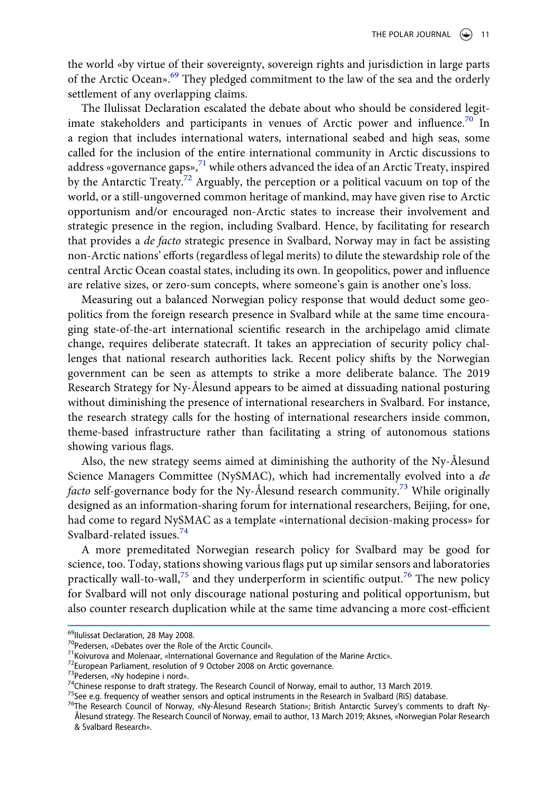the world «by virtue of their sovereignty, sovereign rights and jurisdiction in large parts of the Arctic Ocean».<sup>[69](#page-10-0)</sup> They pledged commitment to the law of the sea and the orderly settlement of any overlapping claims.

The Ilulissat Declaration escalated the debate about who should be considered legitimate stakeholders and participants in venues of Arctic power and influence.<sup>70</sup> In a region that includes international waters, international seabed and high seas, some called for the inclusion of the entire international community in Arctic discussions to address «governance gaps», $71$  while others advanced the idea of an Arctic Treaty, inspired by the Antarctic Treaty.<sup>72</sup> Arguably, the perception or a political vacuum on top of the world, or a still-ungoverned common heritage of mankind, may have given rise to Arctic opportunism and/or encouraged non-Arctic states to increase their involvement and strategic presence in the region, including Svalbard. Hence, by facilitating for research that provides a *de facto* strategic presence in Svalbard, Norway may in fact be assisting non-Arctic nations' efforts (regardless of legal merits) to dilute the stewardship role of the central Arctic Ocean coastal states, including its own. In geopolitics, power and influence are relative sizes, or zero-sum concepts, where someone's gain is another one's loss.

Measuring out a balanced Norwegian policy response that would deduct some geopolitics from the foreign research presence in Svalbard while at the same time encouraging state-of-the-art international scientific research in the archipelago amid climate change, requires deliberate statecraft. It takes an appreciation of security policy challenges that national research authorities lack. Recent policy shifts by the Norwegian government can be seen as attempts to strike a more deliberate balance. The 2019 Research Strategy for Ny-Ålesund appears to be aimed at dissuading national posturing without diminishing the presence of international researchers in Svalbard. For instance, the research strategy calls for the hosting of international researchers inside common, theme-based infrastructure rather than facilitating a string of autonomous stations showing various flags.

Also, the new strategy seems aimed at diminishing the authority of the Ny-Ålesund Science Managers Committee (NySMAC), which had incrementally evolved into a *de facto* self-governance body for the Ny-Ålesund research community[.73](#page-10-4) While originally designed as an information-sharing forum for international researchers, Beijing, for one, had come to regard NySMAC as a template «international decision-making process» for Svalbard-related issues.<sup>[74](#page-10-5)</sup>

A more premeditated Norwegian research policy for Svalbard may be good for science, too. Today, stations showing various flags put up similar sensors and laboratories practically wall-to-wall,<sup>[75](#page-10-6)</sup> and they underperform in scientific output.<sup>[76](#page-10-7)</sup> The new policy for Svalbard will not only discourage national posturing and political opportunism, but also counter research duplication while at the same time advancing a more cost-efficient

<span id="page-10-1"></span>

<span id="page-10-2"></span>

<span id="page-10-3"></span>

<span id="page-10-4"></span>

<span id="page-10-6"></span><span id="page-10-5"></span>

<span id="page-10-0"></span><sup>&</sup>lt;sup>69</sup>IIulissat Declaration, 28 May 2008.<br><sup>70</sup>Pedersen, «Debates over the Role of the Arctic Council».<br><sup>71</sup>Koivurova and Molenaar, «International Governance and Regulation of the Marine Arctic».<br><sup>72</sup>European Parliament, res

<span id="page-10-7"></span>Ålesund strategy. The Research Council of Norway, email to author, 13 March 2019; Aksnes, «Norwegian Polar Research & Svalbard Research».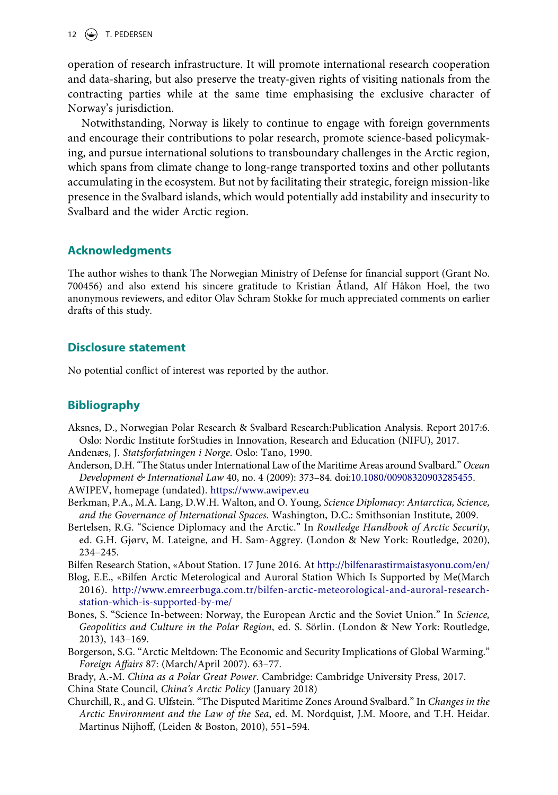12  $\left(\bigoplus$  T. PEDERSEN

operation of research infrastructure. It will promote international research cooperation and data-sharing, but also preserve the treaty-given rights of visiting nationals from the contracting parties while at the same time emphasising the exclusive character of Norway's jurisdiction.

Notwithstanding, Norway is likely to continue to engage with foreign governments and encourage their contributions to polar research, promote science-based policymaking, and pursue international solutions to transboundary challenges in the Arctic region, which spans from climate change to long-range transported toxins and other pollutants accumulating in the ecosystem. But not by facilitating their strategic, foreign mission-like presence in the Svalbard islands, which would potentially add instability and insecurity to Svalbard and the wider Arctic region.

# **Acknowledgments**

The author wishes to thank The Norwegian Ministry of Defense for financial support (Grant No. 700456) and also extend his sincere gratitude to Kristian Åtland, Alf Håkon Hoel, the two anonymous reviewers, and editor Olav Schram Stokke for much appreciated comments on earlier drafts of this study.

# **Disclosure statement**

No potential conflict of interest was reported by the author.

# **Bibliography**

Aksnes, D., Norwegian Polar Research & Svalbard Research:Publication Analysis. Report 2017:6. Oslo: Nordic Institute forStudies in Innovation, Research and Education (NIFU), 2017.

Andenæs, J. *Statsforfatningen i Norge*. Oslo: Tano, 1990.

- Anderson, D.H. "The Status under International Law of the Maritime Areas around Svalbard." *Ocean Development & International Law* 40, no. 4 (2009): 373–84. doi:[10.1080/00908320903285455](https://doi.org/10.1080/00908320903285455). AWIPEV, homepage (undated). <https://www.awipev.eu>
- Berkman, P.A., M.A. Lang, D.W.H. Walton, and O. Young, *Science Diplomacy: Antarctica, Science, and the Governance of International Spaces*. Washington, D.C.: Smithsonian Institute, 2009.
- Bertelsen, R.G. "Science Diplomacy and the Arctic." In *Routledge Handbook of Arctic Security*, ed. G.H. Gjørv, M. Lateigne, and H. Sam-Aggrey. (London & New York: Routledge, 2020), 234–245.

Bilfen Research Station, «About Station. 17 June 2016. At<http://bilfenarastirmaistasyonu.com/en/>

- Blog, E.E., «Bilfen Arctic Meterological and Auroral Station Which Is Supported by Me(March 2016). [http://www.emreerbuga.com.tr/bilfen-arctic-meteorological-and-auroral-research](http://www.emreerbuga.com.tr/bilfen-arctic-meteorological-and-auroral-research-station-which-is-supported-by-me/)[station-which-is-supported-by-me/](http://www.emreerbuga.com.tr/bilfen-arctic-meteorological-and-auroral-research-station-which-is-supported-by-me/)
- Bones, S. "Science In-between: Norway, the European Arctic and the Soviet Union." In *Science, Geopolitics and Culture in the Polar Region*, ed. S. Sörlin. (London & New York: Routledge, 2013), 143–169.
- Borgerson, S.G. "Arctic Meltdown: The Economic and Security Implications of Global Warming." *Foreign Affairs* 87: (March/April 2007). 63–77.
- Brady, A.-M. *China as a Polar Great Power*. Cambridge: Cambridge University Press, 2017.

China State Council, *China's Arctic Policy* (January 2018)

Churchill, R., and G. Ulfstein. "The Disputed Maritime Zones Around Svalbard." In *Changes in the Arctic Environment and the Law of the Sea*, ed. M. Nordquist, J.M. Moore, and T.H. Heidar. Martinus Nijhoff, (Leiden & Boston, 2010), 551–594.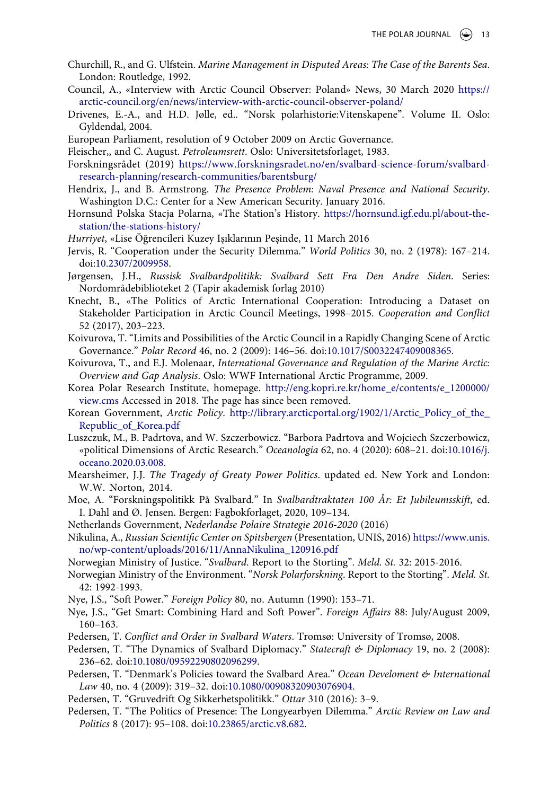- Churchill, R., and G. Ulfstein. *Marine Management in Disputed Areas: The Case of the Barents Sea*. London: Routledge, 1992.
- Council, A., «Interview with Arctic Council Observer: Poland» News, 30 March 2020 [https://](https://arctic-council.org/en/news/interview-with-arctic-council-observer-poland/) [arctic-council.org/en/news/interview-with-arctic-council-observer-poland/](https://arctic-council.org/en/news/interview-with-arctic-council-observer-poland/)
- Drivenes, E.-A., and H.D. Jølle, ed.. "Norsk polarhistorie:Vitenskapene". Volume II. Oslo: Gyldendal, 2004.
- European Parliament, resolution of 9 October 2009 on Arctic Governance.
- Fleischer,, and C. August. *Petroleumsrett*. Oslo: Universitetsforlaget, 1983.
- Forskningsrådet (2019) [https://www.forskningsradet.no/en/svalbard-science-forum/svalbard](https://www.forskningsradet.no/en/svalbard-science-forum/svalbard-research-planning/research-communities/barentsburg/)[research-planning/research-communities/barentsburg/](https://www.forskningsradet.no/en/svalbard-science-forum/svalbard-research-planning/research-communities/barentsburg/)
- Hendrix, J., and B. Armstrong. *The Presence Problem: Naval Presence and National Security*. Washington D.C.: Center for a New American Security. January 2016.
- Hornsund Polska Stacja Polarna, «The Station's History. [https://hornsund.igf.edu.pl/about-the](https://hornsund.igf.edu.pl/about-the-station/the-stations-history/)[station/the-stations-history/](https://hornsund.igf.edu.pl/about-the-station/the-stations-history/)
- *Hurriyet*, «Lise Öğrencileri Kuzey Işıklarının Peşinde, 11 March 2016
- Jervis, R. "Cooperation under the Security Dilemma." *World Politics* 30, no. 2 (1978): 167–214. doi:[10.2307/2009958](https://doi.org/10.2307/2009958).
- Jørgensen, J.H., *Russisk Svalbardpolitikk: Svalbard Sett Fra Den Andre Siden*. Series: Nordområdebiblioteket 2 (Tapir akademisk forlag 2010)
- Knecht, B., «The Politics of Arctic International Cooperation: Introducing a Dataset on Stakeholder Participation in Arctic Council Meetings, 1998–2015. *Cooperation and Conflict*  52 (2017), 203–223.
- Koivurova, T. "Limits and Possibilities of the Arctic Council in a Rapidly Changing Scene of Arctic Governance." *Polar Record* 46, no. 2 (2009): 146–56. doi:[10.1017/S0032247409008365](https://doi.org/10.1017/S0032247409008365).
- Koivurova, T., and E.J. Molenaar, *International Governance and Regulation of the Marine Arctic: Overview and Gap Analysis*. Oslo: WWF International Arctic Programme, 2009.
- Korea Polar Research Institute, homepage. [http://eng.kopri.re.kr/home\\_e/contents/e\\_1200000/](http://eng.kopri.re.kr/home_e/contents/e_1200000/view.cms) [view.cms](http://eng.kopri.re.kr/home_e/contents/e_1200000/view.cms) Accessed in 2018. The page has since been removed.
- Korean Government, *Arctic Policy*. [http://library.arcticportal.org/1902/1/Arctic\\_Policy\\_of\\_the\\_](http://library.arcticportal.org/1902/1/Arctic_Policy_of_the_Republic_of_Korea.pdf) [Republic\\_of\\_Korea.pdf](http://library.arcticportal.org/1902/1/Arctic_Policy_of_the_Republic_of_Korea.pdf)
- Luszczuk, M., B. Padrtova, and W. Szczerbowicz. "Barbora Padrtova and Wojciech Szczerbowicz, «political Dimensions of Arctic Research." *Oceanologia* 62, no. 4 (2020): 608–21. doi:[10.1016/j.](https://doi.org/10.1016/j.oceano.2020.03.008) [oceano.2020.03.008.](https://doi.org/10.1016/j.oceano.2020.03.008)
- Mearsheimer, J.J. *The Tragedy of Greaty Power Politics*. updated ed. New York and London: W.W. Norton, 2014.
- Moe, A. "Forskningspolitikk På Svalbard." In *Svalbardtraktaten 100 År: Et Jubileumsskift*, ed. I. Dahl and Ø. Jensen. Bergen: Fagbokforlaget, 2020, 109–134.
- Netherlands Government, *Nederlandse Polaire Strategie 2016-2020* (2016)
- Nikulina, A., *Russian Scientific Center on Spitsbergen* (Presentation, UNIS, 2016) [https://www.unis.](https://www.unis.no/wp-content/uploads/2016/11/AnnaNikulina_120916.pdf) [no/wp-content/uploads/2016/11/AnnaNikulina\\_120916.pdf](https://www.unis.no/wp-content/uploads/2016/11/AnnaNikulina_120916.pdf)
- Norwegian Ministry of Justice. "*Svalbard*. Report to the Storting". *Meld. St.* 32: 2015-2016.
- Norwegian Ministry of the Environment. "*Norsk Polarforskning*. Report to the Storting". *Meld. St.*  42: 1992-1993.
- Nye, J.S., "Soft Power." *Foreign Policy* 80, no. Autumn (1990): 153–71.
- Nye, J.S., "Get Smart: Combining Hard and Soft Power". *Foreign Affairs* 88: July/August 2009, 160–163.
- Pedersen, T. *Conflict and Order in Svalbard Waters*. Tromsø: University of Tromsø, 2008.
- Pedersen, T. "The Dynamics of Svalbard Diplomacy." *Statecraft & Diplomacy* 19, no. 2 (2008): 236–62. doi:[10.1080/09592290802096299](https://doi.org/10.1080/09592290802096299).
- Pedersen, T. "Denmark's Policies toward the Svalbard Area." *Ocean Develoment & International Law* 40, no. 4 (2009): 319–32. doi:[10.1080/00908320903076904.](https://doi.org/10.1080/00908320903076904)
- Pedersen, T. "Gruvedrift Og Sikkerhetspolitikk." *Ottar* 310 (2016): 3–9.
- Pedersen, T. "The Politics of Presence: The Longyearbyen Dilemma." *Arctic Review on Law and Politics* 8 (2017): 95–108. doi:[10.23865/arctic.v8.682](https://doi.org/10.23865/arctic.v8.682).